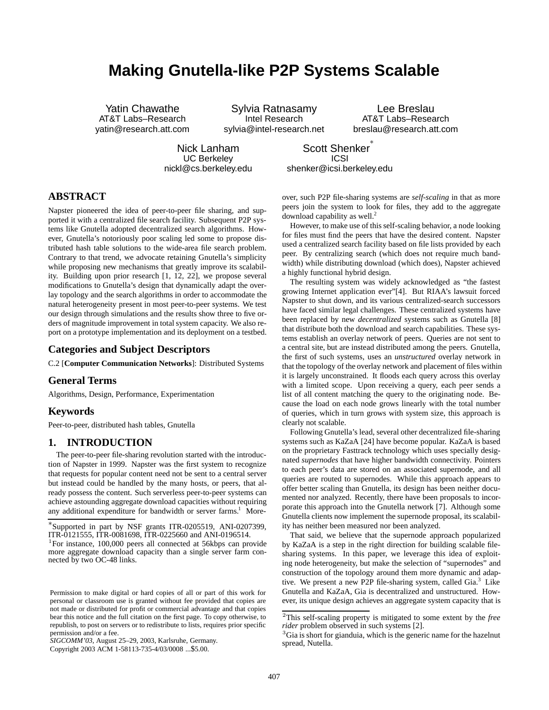# **Making Gnutella-like P2P Systems Scalable**

Yatin Chawathe AT&T Labs–Research yatin@research.att.com

Sylvia Ratnasamy Intel Research sylvia@intel-research.net

Lee Breslau AT&T Labs–Research breslau@research.att.com

Nick Lanham UC Berkeley nickl@cs.berkeley.edu

Scott Shenker ICSI shenker@icsi.berkeley.edu

# **ABSTRACT**

Napster pioneered the idea of peer-to-peer file sharing, and supported it with a centralized file search facility. Subsequent P2P systems like Gnutella adopted decentralized search algorithms. However, Gnutella's notoriously poor scaling led some to propose distributed hash table solutions to the wide-area file search problem. Contrary to that trend, we advocate retaining Gnutella's simplicity while proposing new mechanisms that greatly improve its scalability. Building upon prior research [1, 12, 22], we propose several modifications to Gnutella's design that dynamically adapt the overlay topology and the search algorithms in order to accommodate the natural heterogeneity present in most peer-to-peer systems. We test our design through simulations and the results show three to five orders of magnitude improvement in total system capacity. We also report on a prototype implementation and its deployment on a testbed.

# **Categories and Subject Descriptors**

C.2 [**Computer Communication Networks**]: Distributed Systems

# **General Terms**

Algorithms, Design, Performance, Experimentation

#### **Keywords**

Peer-to-peer, distributed hash tables, Gnutella

# **1. INTRODUCTION**

The peer-to-peer file-sharing revolution started with the introduction of Napster in 1999. Napster was the first system to recognize that requests for popular content need not be sent to a central server but instead could be handled by the many hosts, or peers, that already possess the content. Such serverless peer-to-peer systems can achieve astounding aggregate download capacities without requiring any additional expenditure for bandwidth or server farms.<sup>1</sup> Moreover, such P2P file-sharing systems are *self-scaling* in that as more peers join the system to look for files, they add to the aggregate download capability as well.<sup>2</sup>

However, to make use of this self-scaling behavior, a node looking for files must find the peers that have the desired content. Napster used a centralized search facility based on file lists provided by each peer. By centralizing search (which does not require much bandwidth) while distributing download (which does), Napster achieved a highly functional hybrid design.

The resulting system was widely acknowledged as "the fastest growing Internet application ever"[4]. But RIAA's lawsuit forced Napster to shut down, and its various centralized-search successors have faced similar legal challenges. These centralized systems have been replaced by new *decentralized* systems such as Gnutella [8] that distribute both the download and search capabilities. These systems establish an overlay network of peers. Queries are not sent to a central site, but are instead distributed among the peers. Gnutella, the first of such systems, uses an *unstructured* overlay network in that the topology of the overlay network and placement of files within it is largely unconstrained. It floods each query across this overlay with a limited scope. Upon receiving a query, each peer sends a list of all content matching the query to the originating node. Because the load on each node grows linearly with the total number of queries, which in turn grows with system size, this approach is clearly not scalable.

Following Gnutella's lead, several other decentralized file-sharing systems such as KaZaA [24] have become popular. KaZaA is based on the proprietary Fasttrack technology which uses specially designated *supernodes* that have higher bandwidth connectivity. Pointers to each peer's data are stored on an associated supernode, and all queries are routed to supernodes. While this approach appears to offer better scaling than Gnutella, its design has been neither documented nor analyzed. Recently, there have been proposals to incorporate this approach into the Gnutella network [7]. Although some Gnutella clients now implement the supernode proposal, its scalability has neither been measured nor been analyzed.

That said, we believe that the supernode approach popularized by KaZaA is a step in the right direction for building scalable filesharing systems. In this paper, we leverage this idea of exploiting node heterogeneity, but make the selection of "supernodes" and construction of the topology around them more dynamic and adaptive. We present a new P2P file-sharing system, called Gia.<sup>3</sup> Like Gnutella and KaZaA, Gia is decentralized and unstructured. However, its unique design achieves an aggregate system capacity that is

<sup>∗</sup>Supported in part by NSF grants ITR-0205519, ANI-0207399, ITR-0121555, ITR-0081698, ITR-0225660 and ANI-0196514.

<sup>&</sup>lt;sup>1</sup>For instance, 100,000 peers all connected at 56kbps can provide more aggregate download capacity than a single server farm connected by two OC-48 links.

Permission to make digital or hard copies of all or part of this work for personal or classroom use is granted without fee provided that copies are not made or distributed for profit or commercial advantage and that copies bear this notice and the full citation on the first page. To copy otherwise, to republish, to post on servers or to redistribute to lists, requires prior specific permission and/or a fee.

*SIGCOMM'03,* August 25–29, 2003, Karlsruhe, Germany.

Copyright 2003 ACM 1-58113-735-4/03/0008 ...\$5.00.

<sup>2</sup>This self-scaling property is mitigated to some extent by the *free*

*rider* problem observed in such systems [2].<br><sup>3</sup>Gia is short for gianduia, which is the generic name for the hazelnut spread, Nutella.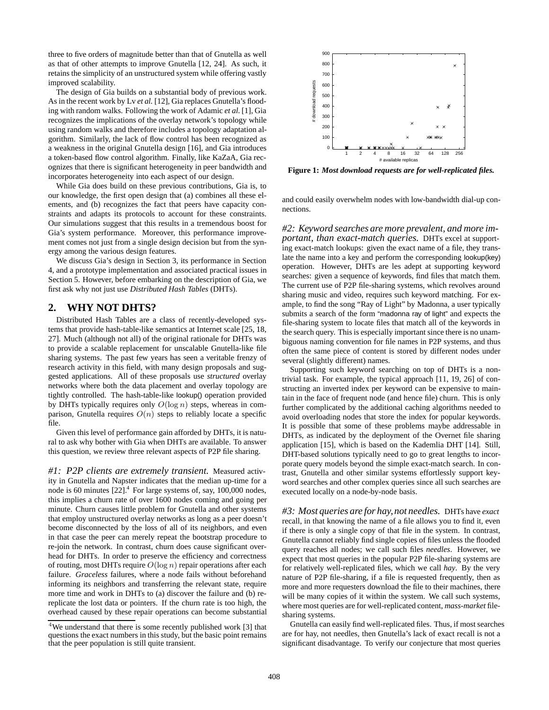three to five orders of magnitude better than that of Gnutella as well as that of other attempts to improve Gnutella [12, 24]. As such, it retains the simplicity of an unstructured system while offering vastly improved scalability.

The design of Gia builds on a substantial body of previous work. As in the recent work by Lv *et al.* [12], Gia replaces Gnutella's flooding with random walks. Following the work of Adamic *et al.* [1], Gia recognizes the implications of the overlay network's topology while using random walks and therefore includes a topology adaptation algorithm. Similarly, the lack of flow control has been recognized as a weakness in the original Gnutella design [16], and Gia introduces a token-based flow control algorithm. Finally, like KaZaA, Gia recognizes that there is significant heterogeneity in peer bandwidth and incorporates heterogeneity into each aspect of our design.

While Gia does build on these previous contributions, Gia is, to our knowledge, the first open design that (a) combines all these elements, and (b) recognizes the fact that peers have capacity constraints and adapts its protocols to account for these constraints. Our simulations suggest that this results in a tremendous boost for Gia's system performance. Moreover, this performance improvement comes not just from a single design decision but from the synergy among the various design features.

We discuss Gia's design in Section 3, its performance in Section 4, and a prototype implementation and associated practical issues in Section 5. However, before embarking on the description of Gia, we first ask why not just use *Distributed Hash Tables* (DHTs).

# **2. WHY NOT DHTS?**

Distributed Hash Tables are a class of recently-developed systems that provide hash-table-like semantics at Internet scale [25, 18, 27]. Much (although not all) of the original rationale for DHTs was to provide a scalable replacement for unscalable Gnutella-like file sharing systems. The past few years has seen a veritable frenzy of research activity in this field, with many design proposals and suggested applications. All of these proposals use *structured* overlay networks where both the data placement and overlay topology are tightly controlled. The hash-table-like lookup() operation provided by DHTs typically requires only *<sup>O</sup>*(log *<sup>n</sup>*) steps, whereas in comparison, Gnutella requires  $O(n)$  steps to reliably locate a specific file.

Given this level of performance gain afforded by DHTs, it is natural to ask why bother with Gia when DHTs are available. To answer this question, we review three relevant aspects of P2P file sharing.

*#1: P2P clients are extremely transient.* Measured activity in Gnutella and Napster indicates that the median up-time for a node is 60 minutes  $[22]$ .<sup>4</sup> For large systems of, say, 100,000 nodes, this implies a churn rate of over 1600 nodes coming and going per minute. Churn causes little problem for Gnutella and other systems that employ unstructured overlay networks as long as a peer doesn't become disconnected by the loss of all of its neighbors, and even in that case the peer can merely repeat the bootstrap procedure to re-join the network. In contrast, churn does cause significant overhead for DHTs. In order to preserve the efficiency and correctness of routing, most DHTs require *<sup>O</sup>*(log *<sup>n</sup>*) repair operations after each failure. *Graceless* failures, where a node fails without beforehand informing its neighbors and transferring the relevant state, require more time and work in DHTs to (a) discover the failure and (b) rereplicate the lost data or pointers. If the churn rate is too high, the overhead caused by these repair operations can become substantial



**Figure 1:** *Most download requests are for well-replicated files.*

and could easily overwhelm nodes with low-bandwidth dial-up connections.

*#2: Keyword searches are more prevalent, and more important, than exact-match queries.* DHTs excel at supporting exact-match lookups: given the exact name of a file, they translate the name into a key and perform the corresponding lookup(key) operation. However, DHTs are les adept at supporting keyword searches: given a sequence of keywords, find files that match them. The current use of P2P file-sharing systems, which revolves around sharing music and video, requires such keyword matching. For example, to find the song "Ray of Light" by Madonna, a user typically submits a search of the form "madonna ray of light" and expects the file-sharing system to locate files that match all of the keywords in the search query. This is especially important since there is no unambiguous naming convention for file names in P2P systems, and thus often the same piece of content is stored by different nodes under several (slightly different) names.

Supporting such keyword searching on top of DHTs is a nontrivial task. For example, the typical approach [11, 19, 26] of constructing an inverted index per keyword can be expensive to maintain in the face of frequent node (and hence file) churn. This is only further complicated by the additional caching algorithms needed to avoid overloading nodes that store the index for popular keywords. It is possible that some of these problems maybe addressable in DHTs, as indicated by the deployment of the Overnet file sharing application [15], which is based on the Kademlia DHT [14]. Still, DHT-based solutions typically need to go to great lengths to incorporate query models beyond the simple exact-match search. In contrast, Gnutella and other similar systems effortlessly support keyword searches and other complex queries since all such searches are executed locally on a node-by-node basis.

*#3: Most queries are for hay,not needles.* DHTs have *exact* recall, in that knowing the name of a file allows you to find it, even if there is only a single copy of that file in the system. In contrast, Gnutella cannot reliably find single copies of files unless the flooded query reaches all nodes; we call such files *needles*. However, we expect that most queries in the popular P2P file-sharing systems are for relatively well-replicated files, which we call *hay*. By the very nature of P2P file-sharing, if a file is requested frequently, then as more and more requesters download the file to their machines, there will be many copies of it within the system. We call such systems, where most queries are for well-replicated content, *mass-market* filesharing systems.

Gnutella can easily find well-replicated files. Thus, if most searches are for hay, not needles, then Gnutella's lack of exact recall is not a significant disadvantage. To verify our conjecture that most queries

<sup>4</sup>We understand that there is some recently published work [3] that questions the exact numbers in this study, but the basic point remains that the peer population is still quite transient.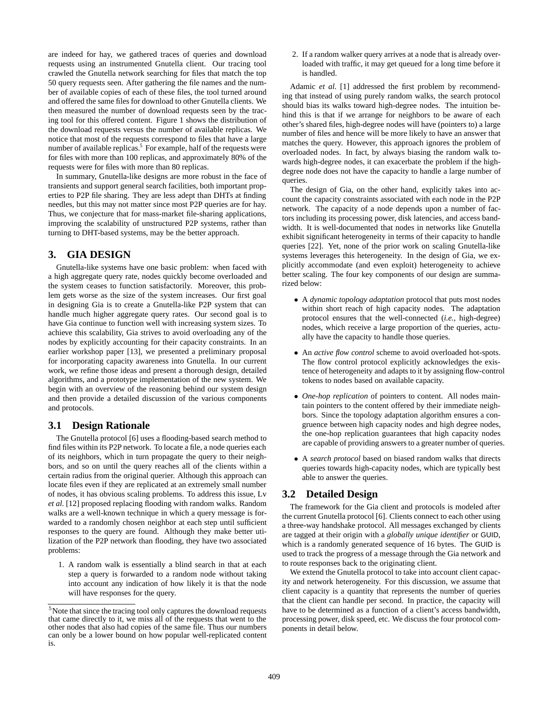are indeed for hay, we gathered traces of queries and download requests using an instrumented Gnutella client. Our tracing tool crawled the Gnutella network searching for files that match the top 50 query requests seen. After gathering the file names and the number of available copies of each of these files, the tool turned around and offered the same files for download to other Gnutella clients. We then measured the number of download requests seen by the tracing tool for this offered content. Figure 1 shows the distribution of the download requests versus the number of available replicas. We notice that most of the requests correspond to files that have a large number of available replicas. $5$  For example, half of the requests were for files with more than 100 replicas, and approximately 80% of the requests were for files with more than 80 replicas.

In summary, Gnutella-like designs are more robust in the face of transients and support general search facilities, both important properties to P2P file sharing. They are less adept than DHTs at finding needles, but this may not matter since most P2P queries are for hay. Thus, we conjecture that for mass-market file-sharing applications, improving the scalability of unstructured P2P systems, rather than turning to DHT-based systems, may be the better approach.

# **3. GIA DESIGN**

Gnutella-like systems have one basic problem: when faced with a high aggregate query rate, nodes quickly become overloaded and the system ceases to function satisfactorily. Moreover, this problem gets worse as the size of the system increases. Our first goal in designing Gia is to create a Gnutella-like P2P system that can handle much higher aggregate query rates. Our second goal is to have Gia continue to function well with increasing system sizes. To achieve this scalability, Gia strives to avoid overloading any of the nodes by explicitly accounting for their capacity constraints. In an earlier workshop paper [13], we presented a preliminary proposal for incorporating capacity awareness into Gnutella. In our current work, we refine those ideas and present a thorough design, detailed algorithms, and a prototype implementation of the new system. We begin with an overview of the reasoning behind our system design and then provide a detailed discussion of the various components and protocols.

#### **3.1 Design Rationale**

The Gnutella protocol [6] uses a flooding-based search method to find files within its P2P network. To locate a file, a node queries each of its neighbors, which in turn propagate the query to their neighbors, and so on until the query reaches all of the clients within a certain radius from the original querier. Although this approach can locate files even if they are replicated at an extremely small number of nodes, it has obvious scaling problems. To address this issue, Lv *et al.* [12] proposed replacing flooding with random walks. Random walks are a well-known technique in which a query message is forwarded to a randomly chosen neighbor at each step until sufficient responses to the query are found. Although they make better utilization of the P2P network than flooding, they have two associated problems:

1. A random walk is essentially a blind search in that at each step a query is forwarded to a random node without taking into account any indication of how likely it is that the node will have responses for the query.

2. If a random walker query arrives at a node that is already overloaded with traffic, it may get queued for a long time before it is handled.

Adamic *et al.* [1] addressed the first problem by recommending that instead of using purely random walks, the search protocol should bias its walks toward high-degree nodes. The intuition behind this is that if we arrange for neighbors to be aware of each other's shared files, high-degree nodes will have (pointers to) a large number of files and hence will be more likely to have an answer that matches the query. However, this approach ignores the problem of overloaded nodes. In fact, by always biasing the random walk towards high-degree nodes, it can exacerbate the problem if the highdegree node does not have the capacity to handle a large number of queries.

The design of Gia, on the other hand, explicitly takes into account the capacity constraints associated with each node in the P2P network. The capacity of a node depends upon a number of factors including its processing power, disk latencies, and access bandwidth. It is well-documented that nodes in networks like Gnutella exhibit significant heterogeneity in terms of their capacity to handle queries [22]. Yet, none of the prior work on scaling Gnutella-like systems leverages this heterogeneity. In the design of Gia, we explicitly accommodate (and even exploit) heterogeneity to achieve better scaling. The four key components of our design are summarized below:

- A *dynamic topology adaptation* protocol that puts most nodes within short reach of high capacity nodes. The adaptation protocol ensures that the well-connected (*i.e.,* high-degree) nodes, which receive a large proportion of the queries, actually have the capacity to handle those queries.
- An *active flow control* scheme to avoid overloaded hot-spots. The flow control protocol explicitly acknowledges the existence of heterogeneity and adapts to it by assigning flow-control tokens to nodes based on available capacity.
- *One-hop replication* of pointers to content. All nodes maintain pointers to the content offered by their immediate neighbors. Since the topology adaptation algorithm ensures a congruence between high capacity nodes and high degree nodes, the one-hop replication guarantees that high capacity nodes are capable of providing answers to a greater number of queries.
- A *search protocol* based on biased random walks that directs queries towards high-capacity nodes, which are typically best able to answer the queries.

# **3.2 Detailed Design**

The framework for the Gia client and protocols is modeled after the current Gnutella protocol [6]. Clients connect to each other using a three-way handshake protocol. All messages exchanged by clients are tagged at their origin with a *globally unique identifier* or GUID, which is a randomly generated sequence of 16 bytes. The GUID is used to track the progress of a message through the Gia network and to route responses back to the originating client.

We extend the Gnutella protocol to take into account client capacity and network heterogeneity. For this discussion, we assume that client capacity is a quantity that represents the number of queries that the client can handle per second. In practice, the capacity will have to be determined as a function of a client's access bandwidth, processing power, disk speed, etc. We discuss the four protocol components in detail below.

<sup>&</sup>lt;sup>5</sup>Note that since the tracing tool only captures the download requests that came directly to it, we miss all of the requests that went to the other nodes that also had copies of the same file. Thus our numbers can only be a lower bound on how popular well-replicated content is.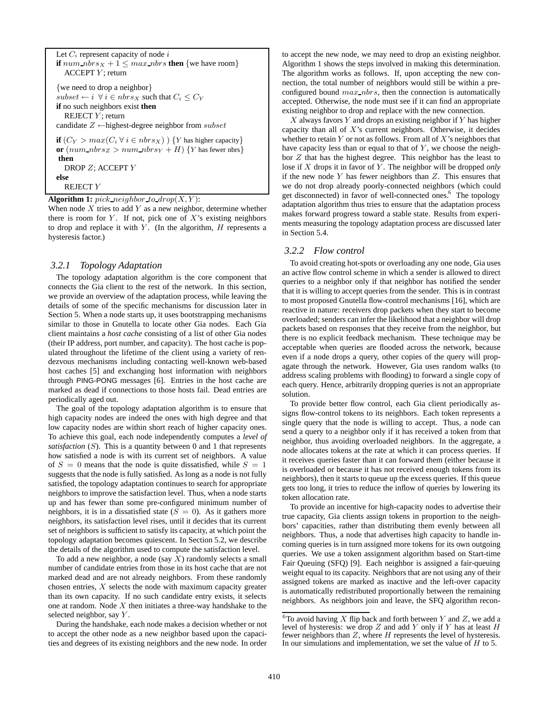Let *C<sup>i</sup>* represent capacity of node *i* **if**  $num\_nbrs_X + 1 \leq max\_nbrs$  **then** {we have room} ACCEPT *Y* ; return {we need to drop a neighbor}  $subset$  *i*  $\forall$  *i*  $\in$  *nbrsx* such that  $C_i \leq C_Y$ **if** no such neighbors exist **then** REJECT *Y* ; return candidate *Z* ←highest-degree neighbor from *subset* **if**  $(C_Y > max(C_i \ \forall i \in nbrs_X)$  } {*Y* has higher capacity} **or**  $(num\_nbrs_Z > num\_nbrs_Y + H)$  {*Y* has fewer nbrs} **then** DROP *Z*; ACCEPT *Y* **else** REJECT *Y*

**Algorithm 1:**  $pick\_neighbor\_to\_drop(X, Y)$ :

When node *X* tries to add *Y* as a new neighbor, determine whether there is room for  $Y$ . If not, pick one of  $X$ 's existing neighbors to drop and replace it with *Y* . (In the algorithm, *H* represents a hysteresis factor.)

#### *3.2.1 Topology Adaptation*

The topology adaptation algorithm is the core component that connects the Gia client to the rest of the network. In this section, we provide an overview of the adaptation process, while leaving the details of some of the specific mechanisms for discussion later in Section 5. When a node starts up, it uses bootstrapping mechanisms similar to those in Gnutella to locate other Gia nodes. Each Gia client maintains a *host cache* consisting of a list of other Gia nodes (their IP address, port number, and capacity). The host cache is populated throughout the lifetime of the client using a variety of rendezvous mechanisms including contacting well-known web-based host caches [5] and exchanging host information with neighbors through PING-PONG messages [6]. Entries in the host cache are marked as dead if connections to those hosts fail. Dead entries are periodically aged out.

The goal of the topology adaptation algorithm is to ensure that high capacity nodes are indeed the ones with high degree and that low capacity nodes are within short reach of higher capacity ones. To achieve this goal, each node independently computes a *level of satisfaction* (*S*). This is a quantity between 0 and 1 that represents how satisfied a node is with its current set of neighbors. A value of  $S = 0$  means that the node is quite dissatisfied, while  $S = 1$ suggests that the node is fully satisfied. As long as a node is not fully satisfied, the topology adaptation continues to search for appropriate neighbors to improve the satisfaction level. Thus, when a node starts up and has fewer than some pre-configured minimum number of neighbors, it is in a dissatisfied state  $(S = 0)$ . As it gathers more neighbors, its satisfaction level rises, until it decides that its current set of neighbors is sufficient to satisfy its capacity, at which point the topology adaptation becomes quiescent. In Section 5.2, we describe the details of the algorithm used to compute the satisfaction level.

To add a new neighbor, a node (say *X*) randomly selects a small number of candidate entries from those in its host cache that are not marked dead and are not already neighbors. From these randomly chosen entries, *X* selects the node with maximum capacity greater than its own capacity. If no such candidate entry exists, it selects one at random. Node *X* then initiates a three-way handshake to the selected neighbor, say *Y* .

During the handshake, each node makes a decision whether or not to accept the other node as a new neighbor based upon the capacities and degrees of its existing neighbors and the new node. In order

to accept the new node, we may need to drop an existing neighbor. Algorithm 1 shows the steps involved in making this determination. The algorithm works as follows. If, upon accepting the new connection, the total number of neighbors would still be within a preconfigured bound *max nbrs*, then the connection is automatically accepted. Otherwise, the node must see if it can find an appropriate existing neighbor to drop and replace with the new connection.

*X* always favors *Y* and drops an existing neighbor if *Y* has higher capacity than all of *X*'s current neighbors. Otherwise, it decides whether to retain *Y* or not as follows. From all of *X*'s neighbors that have capacity less than or equal to that of *Y* , we choose the neighbor *Z* that has the highest degree. This neighbor has the least to lose if *X* drops it in favor of *Y* . The neighbor will be dropped *only* if the new node *Y* has fewer neighbors than *Z*. This ensures that we do not drop already poorly-connected neighbors (which could get disconnected) in favor of well-connected ones.<sup>6</sup> The topology adaptation algorithm thus tries to ensure that the adaptation process makes forward progress toward a stable state. Results from experiments measuring the topology adaptation process are discussed later in Section 5.4.

#### *3.2.2 Flow control*

To avoid creating hot-spots or overloading any one node, Gia uses an active flow control scheme in which a sender is allowed to direct queries to a neighbor only if that neighbor has notified the sender that it is willing to accept queries from the sender. This is in contrast to most proposed Gnutella flow-control mechanisms [16], which are reactive in nature: receivers drop packets when they start to become overloaded; senders can infer the likelihood that a neighbor will drop packets based on responses that they receive from the neighbor, but there is no explicit feedback mechanism. These technique may be acceptable when queries are flooded across the network, because even if a node drops a query, other copies of the query will propagate through the network. However, Gia uses random walks (to address scaling problems with flooding) to forward a single copy of each query. Hence, arbitrarily dropping queries is not an appropriate solution.

To provide better flow control, each Gia client periodically assigns flow-control tokens to its neighbors. Each token represents a single query that the node is willing to accept. Thus, a node can send a query to a neighbor only if it has received a token from that neighbor, thus avoiding overloaded neighbors. In the aggregate, a node allocates tokens at the rate at which it can process queries. If it receives queries faster than it can forward them (either because it is overloaded or because it has not received enough tokens from its neighbors), then it starts to queue up the excess queries. If this queue gets too long, it tries to reduce the inflow of queries by lowering its token allocation rate.

To provide an incentive for high-capacity nodes to advertise their true capacity, Gia clients assign tokens in proportion to the neighbors' capacities, rather than distributing them evenly between all neighbors. Thus, a node that advertises high capacity to handle incoming queries is in turn assigned more tokens for its own outgoing queries. We use a token assignment algorithm based on Start-time Fair Queuing (SFQ) [9]. Each neighbor is assigned a fair-queuing weight equal to its capacity. Neighbors that are not using any of their assigned tokens are marked as inactive and the left-over capacity is automatically redistributed proportionally between the remaining neighbors. As neighbors join and leave, the SFQ algorithm recon-

 ${}^{6}$ To avoid having *X* flip back and forth between *Y* and *Z*, we add a level of hysteresis: we drop *Z* and add *Y* only if *Y* has at least *H* fewer neighbors than *Z*, where *H* represents the level of hysteresis. In our simulations and implementation, we set the value of *H* to 5.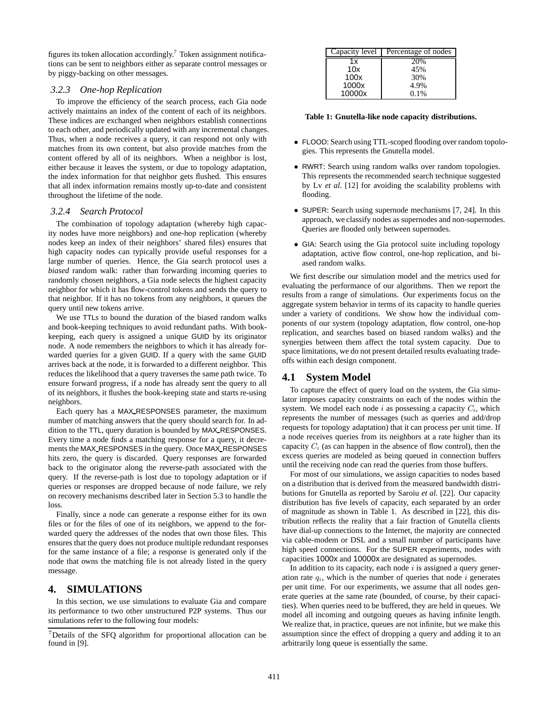figures its token allocation accordingly.<sup>7</sup> Token assignment notifications can be sent to neighbors either as separate control messages or by piggy-backing on other messages.

#### *3.2.3 One-hop Replication*

To improve the efficiency of the search process, each Gia node actively maintains an index of the content of each of its neighbors. These indices are exchanged when neighbors establish connections to each other, and periodically updated with any incremental changes. Thus, when a node receives a query, it can respond not only with matches from its own content, but also provide matches from the content offered by all of its neighbors. When a neighbor is lost, either because it leaves the system, or due to topology adaptation, the index information for that neighbor gets flushed. This ensures that all index information remains mostly up-to-date and consistent throughout the lifetime of the node.

#### *3.2.4 Search Protocol*

The combination of topology adaptation (whereby high capacity nodes have more neighbors) and one-hop replication (whereby nodes keep an index of their neighbors' shared files) ensures that high capacity nodes can typically provide useful responses for a large number of queries. Hence, the Gia search protocol uses a *biased* random walk: rather than forwarding incoming queries to randomly chosen neighbors, a Gia node selects the highest capacity neighbor for which it has flow-control tokens and sends the query to that neighbor. If it has no tokens from any neighbors, it queues the query until new tokens arrive.

We use TTLs to bound the duration of the biased random walks and book-keeping techniques to avoid redundant paths. With bookkeeping, each query is assigned a unique GUID by its originator node. A node remembers the neighbors to which it has already forwarded queries for a given GUID. If a query with the same GUID arrives back at the node, it is forwarded to a different neighbor. This reduces the likelihood that a query traverses the same path twice. To ensure forward progress, if a node has already sent the query to all of its neighbors, it flushes the book-keeping state and starts re-using neighbors.

Each query has a MAX RESPONSES parameter, the maximum number of matching answers that the query should search for. In addition to the TTL, query duration is bounded by MAX RESPONSES. Every time a node finds a matching response for a query, it decrements the MAX RESPONSES in the query. Once MAX RESPONSES hits zero, the query is discarded. Query responses are forwarded back to the originator along the reverse-path associated with the query. If the reverse-path is lost due to topology adaptation or if queries or responses are dropped because of node failure, we rely on recovery mechanisms described later in Section 5.3 to handle the loss.

Finally, since a node can generate a response either for its own files or for the files of one of its neighbors, we append to the forwarded query the addresses of the nodes that own those files. This ensures that the query does not produce multiple redundant responses for the same instance of a file; a response is generated only if the node that owns the matching file is not already listed in the query message.

#### **4. SIMULATIONS**

In this section, we use simulations to evaluate Gia and compare its performance to two other unstructured P2P systems. Thus our simulations refer to the following four models:

| Capacity level | Percentage of nodes |
|----------------|---------------------|
| 1 x            | 20%                 |
| 10x            | 45%                 |
| 100x           | 30%                 |
| 1000x          | 4.9%                |
| 10000x         | $0.1\%$             |

**Table 1: Gnutella-like node capacity distributions.**

- FLOOD: Search using TTL-scoped flooding over random topologies. This represents the Gnutella model.
- RWRT: Search using random walks over random topologies. This represents the recommended search technique suggested by Lv *et al.* [12] for avoiding the scalability problems with flooding.
- SUPER: Search using supernode mechanisms [7, 24]. In this approach, we classify nodes as supernodes and non-supernodes. Queries are flooded only between supernodes.
- GIA: Search using the Gia protocol suite including topology adaptation, active flow control, one-hop replication, and biased random walks.

We first describe our simulation model and the metrics used for evaluating the performance of our algorithms. Then we report the results from a range of simulations. Our experiments focus on the aggregate system behavior in terms of its capacity to handle queries under a variety of conditions. We show how the individual components of our system (topology adaptation, flow control, one-hop replication, and searches based on biased random walks) and the synergies between them affect the total system capacity. Due to space limitations, we do not present detailed results evaluating tradeoffs within each design component.

#### **4.1 System Model**

To capture the effect of query load on the system, the Gia simulator imposes capacity constraints on each of the nodes within the system. We model each node  $i$  as possessing a capacity  $C_i$ , which represents the number of messages (such as queries and add/drop requests for topology adaptation) that it can process per unit time. If a node receives queries from its neighbors at a rate higher than its capacity  $C_i$  (as can happen in the absence of flow control), then the excess queries are modeled as being queued in connection buffers until the receiving node can read the queries from those buffers.

For most of our simulations, we assign capacities to nodes based on a distribution that is derived from the measured bandwidth distributions for Gnutella as reported by Saroiu *et al.* [22]. Our capacity distribution has five levels of capacity, each separated by an order of magnitude as shown in Table 1. As described in [22], this distribution reflects the reality that a fair fraction of Gnutella clients have dial-up connections to the Internet, the majority are connected via cable-modem or DSL and a small number of participants have high speed connections. For the SUPER experiments, nodes with capacities 1000x and 10000x are designated as supernodes.

In addition to its capacity, each node *i* is assigned a query generation rate  $q_i$ , which is the number of queries that node  $i$  generates per unit time. For our experiments, we assume that all nodes generate queries at the same rate (bounded, of course, by their capacities). When queries need to be buffered, they are held in queues. We model all incoming and outgoing queues as having infinite length. We realize that, in practice, queues are not infinite, but we make this assumption since the effect of dropping a query and adding it to an arbitrarily long queue is essentially the same.

<sup>7</sup>Details of the SFQ algorithm for proportional allocation can be found in [9].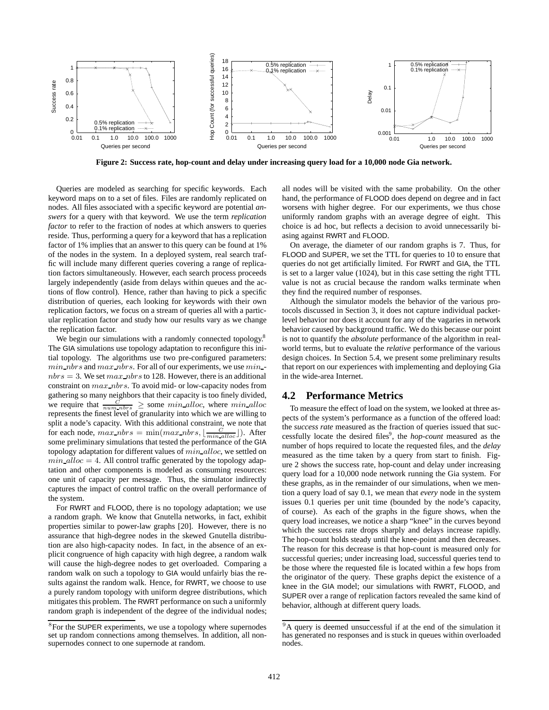

**Figure 2: Success rate, hop-count and delay under increasing query load for a 10,000 node Gia network.**

Queries are modeled as searching for specific keywords. Each keyword maps on to a set of files. Files are randomly replicated on nodes. All files associated with a specific keyword are potential *answers* for a query with that keyword. We use the term *replication factor* to refer to the fraction of nodes at which answers to queries reside. Thus, performing a query for a keyword that has a replication factor of 1% implies that an answer to this query can be found at 1% of the nodes in the system. In a deployed system, real search traffic will include many different queries covering a range of replication factors simultaneously. However, each search process proceeds largely independently (aside from delays within queues and the actions of flow control). Hence, rather than having to pick a specific distribution of queries, each looking for keywords with their own replication factors, we focus on a stream of queries all with a particular replication factor and study how our results vary as we change the replication factor.

We begin our simulations with a randomly connected topology.<sup>8</sup> The GIA simulations use topology adaptation to reconfigure this initial topology. The algorithms use two pre-configured parameters: *min nbrs* and *max nbrs*. For all of our experiments, we use *min*  $nbrs = 3$ . We set  $max\_nbrs$  to 128. However, there is an additional constraint on *max nbrs*. To avoid mid- or low-capacity nodes from gathering so many neighbors that their capacity is too finely divided, we require that  $\frac{C}{num\_nbrs} \ge$  some  $min\_alloc$ , where  $min\_alloc$ represents the finest level of granularity into which we are willing to split a node's capacity. With this additional constraint, we note that for each node,  $max\_nbrs = min(max\_nbrs, \lfloor \frac{C}{min\_alloc} \rfloor$ ). After some preliminary simulations that tested the performance of the GIA some preliminary simulations that tested the performance of the GIA topology adaptation for different values of *min alloc*, we settled on  $min\_alloc = 4$ . All control traffic generated by the topology adaptation and other components is modeled as consuming resources: one unit of capacity per message. Thus, the simulator indirectly captures the impact of control traffic on the overall performance of the system.

For RWRT and FLOOD, there is no topology adaptation; we use a random graph. We know that Gnutella networks, in fact, exhibit properties similar to power-law graphs [20]. However, there is no assurance that high-degree nodes in the skewed Gnutella distribution are also high-capacity nodes. In fact, in the absence of an explicit congruence of high capacity with high degree, a random walk will cause the high-degree nodes to get overloaded. Comparing a random walk on such a topology to GIA would unfairly bias the results against the random walk. Hence, for RWRT, we choose to use a purely random topology with uniform degree distributions, which mitigates this problem. The RWRT performance on such a uniformly random graph is independent of the degree of the individual nodes;

<sup>8</sup>For the SUPER experiments, we use a topology where supernodes set up random connections among themselves. In addition, all nonsupernodes connect to one supernode at random.

all nodes will be visited with the same probability. On the other hand, the performance of FLOOD does depend on degree and in fact worsens with higher degree. For our experiments, we thus chose uniformly random graphs with an average degree of eight. This choice is ad hoc, but reflects a decision to avoid unnecessarily biasing against RWRT and FLOOD.

On average, the diameter of our random graphs is 7. Thus, for FLOOD and SUPER, we set the TTL for queries to 10 to ensure that queries do not get artificially limited. For RWRT and GIA, the TTL is set to a larger value (1024), but in this case setting the right TTL value is not as crucial because the random walks terminate when they find the required number of responses.

Although the simulator models the behavior of the various protocols discussed in Section 3, it does not capture individual packetlevel behavior nor does it account for any of the vagaries in network behavior caused by background traffic. We do this because our point is not to quantify the *absolute* performance of the algorithm in realworld terms, but to evaluate the *relative* performance of the various design choices. In Section 5.4, we present some preliminary results that report on our experiences with implementing and deploying Gia in the wide-area Internet.

#### **4.2 Performance Metrics**

To measure the effect of load on the system, we looked at three aspects of the system's performance as a function of the offered load: the *success rate* measured as the fraction of queries issued that successfully locate the desired files<sup>9</sup>, the *hop-count* measured as the number of hops required to locate the requested files, and the *delay* measured as the time taken by a query from start to finish. Figure 2 shows the success rate, hop-count and delay under increasing query load for a 10,000 node network running the Gia system. For these graphs, as in the remainder of our simulations, when we mention a query load of say 0.1, we mean that *every* node in the system issues 0.1 queries per unit time (bounded by the node's capacity, of course). As each of the graphs in the figure shows, when the query load increases, we notice a sharp "knee" in the curves beyond which the success rate drops sharply and delays increase rapidly. The hop-count holds steady until the knee-point and then decreases. The reason for this decrease is that hop-count is measured only for successful queries; under increasing load, successful queries tend to be those where the requested file is located within a few hops from the originator of the query. These graphs depict the existence of a knee in the GIA model; our simulations with RWRT, FLOOD, and SUPER over a range of replication factors revealed the same kind of behavior, although at different query loads.

<sup>&</sup>lt;sup>9</sup>A query is deemed unsuccessful if at the end of the simulation it has generated no responses and is stuck in queues within overloaded nodes.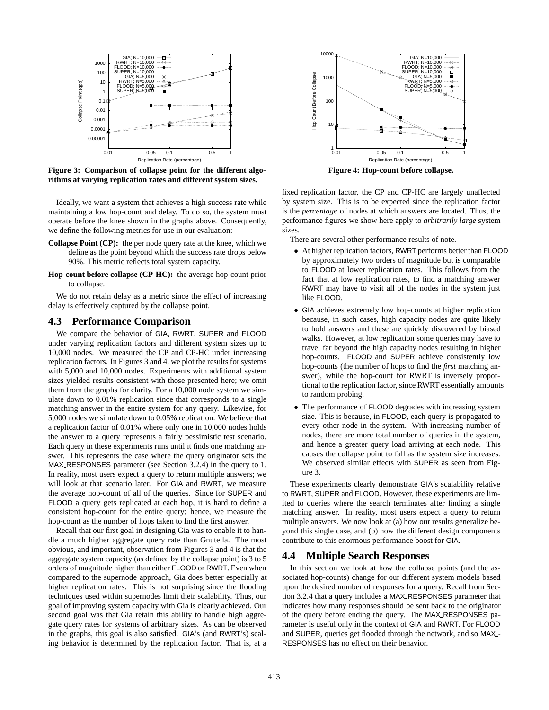

**Figure 3: Comparison of collapse point for the different algorithms at varying replication rates and different system sizes.**

Ideally, we want a system that achieves a high success rate while maintaining a low hop-count and delay. To do so, the system must operate before the knee shown in the graphs above. Consequently, we define the following metrics for use in our evaluation:

- **Collapse Point (CP):** the per node query rate at the knee, which we define as the point beyond which the success rate drops below 90%. This metric reflects total system capacity.
- **Hop-count before collapse (CP-HC):** the average hop-count prior to collapse.

We do not retain delay as a metric since the effect of increasing delay is effectively captured by the collapse point.

#### **4.3 Performance Comparison**

We compare the behavior of GIA, RWRT, SUPER and FLOOD under varying replication factors and different system sizes up to 10,000 nodes. We measured the CP and CP-HC under increasing replication factors. In Figures 3 and 4, we plot the results for systems with 5,000 and 10,000 nodes. Experiments with additional system sizes yielded results consistent with those presented here; we omit them from the graphs for clarity. For a 10,000 node system we simulate down to 0.01% replication since that corresponds to a single matching answer in the entire system for any query. Likewise, for 5,000 nodes we simulate down to 0.05% replication. We believe that a replication factor of 0.01% where only one in 10,000 nodes holds the answer to a query represents a fairly pessimistic test scenario. Each query in these experiments runs until it finds one matching answer. This represents the case where the query originator sets the MAX RESPONSES parameter (see Section 3.2.4) in the query to 1. In reality, most users expect a query to return multiple answers; we will look at that scenario later. For GIA and RWRT, we measure the average hop-count of all of the queries. Since for SUPER and FLOOD a query gets replicated at each hop, it is hard to define a consistent hop-count for the entire query; hence, we measure the hop-count as the number of hops taken to find the first answer.

Recall that our first goal in designing Gia was to enable it to handle a much higher aggregate query rate than Gnutella. The most obvious, and important, observation from Figures 3 and 4 is that the aggregate system capacity (as defined by the collapse point) is 3 to 5 orders of magnitude higher than either FLOOD or RWRT. Even when compared to the supernode approach, Gia does better especially at higher replication rates. This is not surprising since the flooding techniques used within supernodes limit their scalability. Thus, our goal of improving system capacity with Gia is clearly achieved. Our second goal was that Gia retain this ability to handle high aggregate query rates for systems of arbitrary sizes. As can be observed in the graphs, this goal is also satisfied. GIA's (and RWRT's) scaling behavior is determined by the replication factor. That is, at a



fixed replication factor, the CP and CP-HC are largely unaffected by system size. This is to be expected since the replication factor is the *percentage* of nodes at which answers are located. Thus, the performance figures we show here apply to *arbitrarily large* system sizes.

There are several other performance results of note.

- At higher replication factors, RWRT performs better than FLOOD by approximately two orders of magnitude but is comparable to FLOOD at lower replication rates. This follows from the fact that at low replication rates, to find a matching answer RWRT may have to visit all of the nodes in the system just like FLOOD.
- GIA achieves extremely low hop-counts at higher replication because, in such cases, high capacity nodes are quite likely to hold answers and these are quickly discovered by biased walks. However, at low replication some queries may have to travel far beyond the high capacity nodes resulting in higher hop-counts. FLOOD and SUPER achieve consistently low hop-counts (the number of hops to find the *first* matching answer), while the hop-count for RWRT is inversely proportional to the replication factor, since RWRT essentially amounts to random probing.
- The performance of FLOOD degrades with increasing system size. This is because, in FLOOD, each query is propagated to every other node in the system. With increasing number of nodes, there are more total number of queries in the system, and hence a greater query load arriving at each node. This causes the collapse point to fall as the system size increases. We observed similar effects with SUPER as seen from Figure 3.

These experiments clearly demonstrate GIA's scalability relative to RWRT, SUPER and FLOOD. However, these experiments are limited to queries where the search terminates after finding a single matching answer. In reality, most users expect a query to return multiple answers. We now look at (a) how our results generalize beyond this single case, and (b) how the different design components contribute to this enormous performance boost for GIA.

# **4.4 Multiple Search Responses**

In this section we look at how the collapse points (and the associated hop-counts) change for our different system models based upon the desired number of responses for a query. Recall from Section 3.2.4 that a query includes a MAX RESPONSES parameter that indicates how many responses should be sent back to the originator of the query before ending the query. The MAX RESPONSES parameter is useful only in the context of GIA and RWRT. For FLOOD and SUPER, queries get flooded through the network, and so MAX - RESPONSES has no effect on their behavior.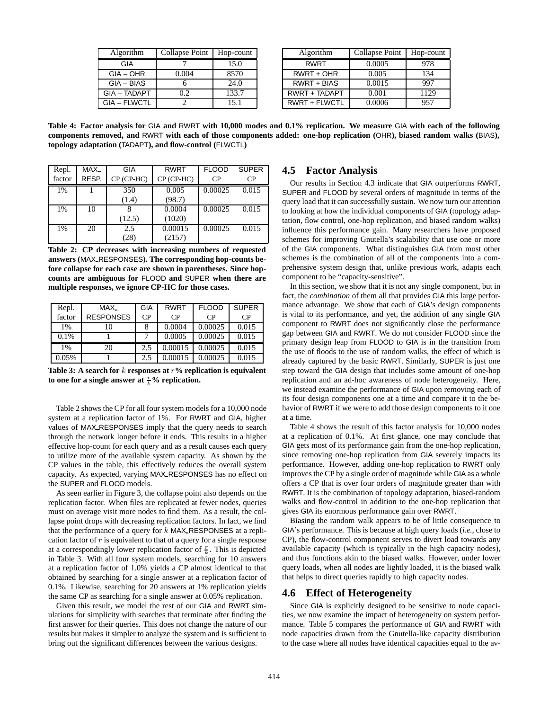| Algorithm           | Collapse Point | Hop-count |
|---------------------|----------------|-----------|
| GIA                 |                | 15.0      |
| $GIA - OHR$         | 0.004          | 8570      |
| $GIA - BIAS$        |                | 24.0      |
| <b>GIA - TADAPT</b> | ገ 2            | 133.7     |
| <b>GIA - FLWCTL</b> |                | 15.1      |

| Algorithm            | Collapse Point | Hop-count |
|----------------------|----------------|-----------|
| <b>RWRT</b>          | 0.0005         | 978       |
| $RWRT + OHR$         | 0.005          | 134       |
| <b>RWRT + BIAS</b>   | 0.0015         | 997       |
| <b>RWRT + TADAPT</b> | 0.001          | 1129      |
| <b>RWRT + FLWCTL</b> | 0.0006         | 957       |

**Table 4: Factor analysis for** GIA **and** RWRT **with 10,000 modes and 0.1% replication. We measure** GIA **with each of the following components removed, and** RWRT **with each of those components added: one-hop replication (**OHR**), biased random walks (**BIAS**), topology adaptation (**TADAPT**), and flow-control (**FLWCTL**)**

| Repl.  | MAX.  | GIA                  | <b>RWRT</b>          | <b>FLOOD</b> | <b>SUPER</b> |
|--------|-------|----------------------|----------------------|--------------|--------------|
| factor | RESP. | $CP$ ( $CP$ - $HC$ ) | $CP$ ( $CP$ - $HC$ ) | CP           | CР           |
| 1%     |       | 350                  | 0.005                | 0.00025      | 0.015        |
|        |       | (1.4)                | (98.7)               |              |              |
| 1%     | 10    |                      | 0.0004               | 0.00025      | 0.015        |
|        |       | (12.5)               | (1020)               |              |              |
| 1%     | 20    | 2.5                  | 0.00015              | 0.00025      | 0.015        |
|        |       | (28)                 | (2157)               |              |              |

**Table 2: CP decreases with increasing numbers of requested answers (**MAX RESPONSES**). The corresponding hop-counts before collapse for each case are shown in parentheses. Since hopcounts are ambiguous for** FLOOD **and** SUPER **when there are multiple responses, we ignore CP-HC for those cases.**

| Repl.   | MAX.             | GIA | <b>RWRT</b> | <b>FLOOD</b> | <b>SUPER</b> |
|---------|------------------|-----|-------------|--------------|--------------|
| factor  | <b>RESPONSES</b> | CP  | СP          | CP           | CP           |
| 1%      | 10               |     | 0.0004      | 0.00025      | 0.015        |
| $0.1\%$ |                  |     | 0.0005      | 0.00025      | 0.015        |
| 1%      | 20               | 2.5 | 0.00015     | 0.00025      | 0.015        |
| 0.05%   |                  | 2.5 | 0.00015     | 0.00025      | 0.015        |

**Table 3: A search for** *k* **responses at** *r***% replication is equivalent** to one for a single answer at  $\frac{r}{k}$ % replication.

Table 2 shows the CP for all four system models for a 10,000 node system at a replication factor of 1%. For RWRT and GIA, higher values of MAX RESPONSES imply that the query needs to search through the network longer before it ends. This results in a higher effective hop-count for each query and as a result causes each query to utilize more of the available system capacity. As shown by the CP values in the table, this effectively reduces the overall system capacity. As expected, varying MAX RESPONSES has no effect on the SUPER and FLOOD models.

As seen earlier in Figure 3, the collapse point also depends on the replication factor. When files are replicated at fewer nodes, queries must on average visit more nodes to find them. As a result, the collapse point drops with decreasing replication factors. In fact, we find that the performance of a query for *k* MAX RESPONSES at a replication factor of *r* is equivalent to that of a query for a single response at a correspondingly lower replication factor of  $\frac{r}{k}$ . This is depicted in Table 3. With all four system models, searching for 10 answers at a replication factor of 1.0% yields a CP almost identical to that obtained by searching for a single answer at a replication factor of 0.1%. Likewise, searching for 20 answers at 1% replication yields the same CP as searching for a single answer at 0.05% replication.

Given this result, we model the rest of our GIA and RWRT simulations for simplicity with searches that terminate after finding the first answer for their queries. This does not change the nature of our results but makes it simpler to analyze the system and is sufficient to bring out the significant differences between the various designs.

#### **4.5 Factor Analysis**

Our results in Section 4.3 indicate that GIA outperforms RWRT, SUPER and FLOOD by several orders of magnitude in terms of the query load that it can successfully sustain. We now turn our attention to looking at how the individual components of GIA (topology adaptation, flow control, one-hop replication, and biased random walks) influence this performance gain. Many researchers have proposed schemes for improving Gnutella's scalability that use one or more of the GIA components. What distinguishes GIA from most other schemes is the combination of all of the components into a comprehensive system design that, unlike previous work, adapts each component to be "capacity-sensitive".

In this section, we show that it is not any single component, but in fact, the *combination* of them all that provides GIA this large performance advantage. We show that each of GIA's design components is vital to its performance, and yet, the addition of any single GIA component to RWRT does not significantly close the performance gap between GIA and RWRT. We do not consider FLOOD since the primary design leap from FLOOD to GIA is in the transition from the use of floods to the use of random walks, the effect of which is already captured by the basic RWRT. Similarly, SUPER is just one step toward the GIA design that includes some amount of one-hop replication and an ad-hoc awareness of node heterogeneity. Here, we instead examine the performance of GIA upon removing each of its four design components one at a time and compare it to the behavior of RWRT if we were to add those design components to it one at a time.

Table 4 shows the result of this factor analysis for 10,000 nodes at a replication of 0.1%. At first glance, one may conclude that GIA gets most of its performance gain from the one-hop replication, since removing one-hop replication from GIA severely impacts its performance. However, adding one-hop replication to RWRT only improves the CP by a single order of magnitude while GIA as a whole offers a CP that is over four orders of magnitude greater than with RWRT. It is the combination of topology adaptation, biased-random walks and flow-control in addition to the one-hop replication that gives GIA its enormous performance gain over RWRT.

Biasing the random walk appears to be of little consequence to GIA's performance. This is because at high query loads (*i.e.,* close to CP), the flow-control component serves to divert load towards any available capacity (which is typically in the high capacity nodes), and thus functions akin to the biased walks. However, under lower query loads, when all nodes are lightly loaded, it is the biased walk that helps to direct queries rapidly to high capacity nodes.

#### **4.6 Effect of Heterogeneity**

Since GIA is explicitly designed to be sensitive to node capacities, we now examine the impact of heterogeneity on system performance. Table 5 compares the performance of GIA and RWRT with node capacities drawn from the Gnutella-like capacity distribution to the case where all nodes have identical capacities equal to the av-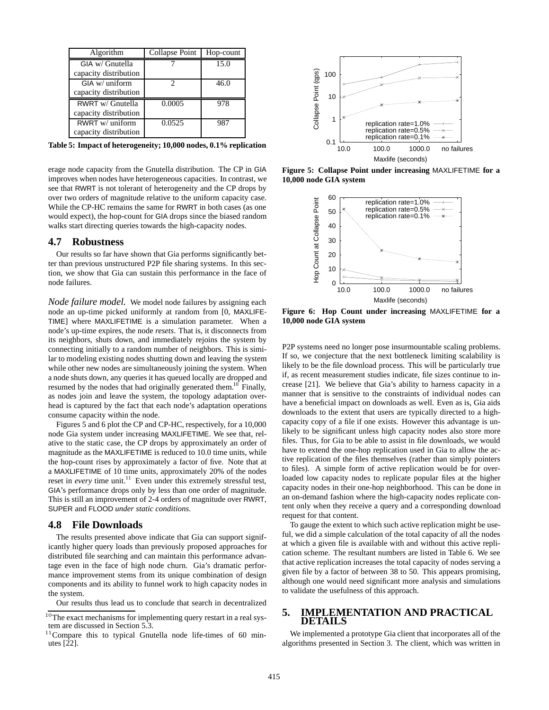| Algorithm             | Collapse Point | Hop-count |
|-----------------------|----------------|-----------|
| GIA w/ Gnutella       |                | 15.0      |
| capacity distribution |                |           |
| $GIA \, w /$ uniform  | 2              | 46.0      |
| capacity distribution |                |           |
| RWRT w/ Gnutella      | 0.0005         | 978       |
| capacity distribution |                |           |
| RWRT w/ uniform       | 0.0525         | 987       |
| capacity distribution |                |           |

**Table 5: Impact of heterogeneity; 10,000 nodes, 0.1% replication**

erage node capacity from the Gnutella distribution. The CP in GIA improves when nodes have heterogeneous capacities. In contrast, we see that RWRT is not tolerant of heterogeneity and the CP drops by over two orders of magnitude relative to the uniform capacity case. While the CP-HC remains the same for RWRT in both cases (as one would expect), the hop-count for GIA drops since the biased random walks start directing queries towards the high-capacity nodes.

#### **4.7 Robustness**

Our results so far have shown that Gia performs significantly better than previous unstructured P2P file sharing systems. In this section, we show that Gia can sustain this performance in the face of node failures.

*Node failure model.* We model node failures by assigning each node an up-time picked uniformly at random from [0, MAXLIFE-TIME] where MAXLIFETIME is a simulation parameter. When a node's up-time expires, the node *resets*. That is, it disconnects from its neighbors, shuts down, and immediately rejoins the system by connecting initially to a random number of neighbors. This is similar to modeling existing nodes shutting down and leaving the system while other new nodes are simultaneously joining the system. When a node shuts down, any queries it has queued locally are dropped and resumed by the nodes that had originally generated them.<sup>10</sup> Finally, as nodes join and leave the system, the topology adaptation overhead is captured by the fact that each node's adaptation operations consume capacity within the node.

Figures 5 and 6 plot the CP and CP-HC, respectively, for a 10,000 node Gia system under increasing MAXLIFETIME. We see that, relative to the static case, the CP drops by approximately an order of magnitude as the MAXLIFETIME is reduced to 10.0 time units, while the hop-count rises by approximately a factor of five. Note that at a MAXLIFETIME of 10 time units, approximately 20% of the nodes reset in *every* time unit.<sup>11</sup> Even under this extremely stressful test, GIA's performance drops only by less than one order of magnitude. This is still an improvement of 2-4 orders of magnitude over RWRT, SUPER and FLOOD *under static conditions*.

#### **4.8 File Downloads**

The results presented above indicate that Gia can support significantly higher query loads than previously proposed approaches for distributed file searching and can maintain this performance advantage even in the face of high node churn. Gia's dramatic performance improvement stems from its unique combination of design components and its ability to funnel work to high capacity nodes in the system.

Our results thus lead us to conclude that search in decentralized



**Figure 5: Collapse Point under increasing** MAXLIFETIME **for a 10,000 node GIA system**



**Figure 6: Hop Count under increasing** MAXLIFETIME **for a 10,000 node GIA system**

P2P systems need no longer pose insurmountable scaling problems. If so, we conjecture that the next bottleneck limiting scalability is likely to be the file download process. This will be particularly true if, as recent measurement studies indicate, file sizes continue to increase [21]. We believe that Gia's ability to harness capacity in a manner that is sensitive to the constraints of individual nodes can have a beneficial impact on downloads as well. Even as is, Gia aids downloads to the extent that users are typically directed to a highcapacity copy of a file if one exists. However this advantage is unlikely to be significant unless high capacity nodes also store more files. Thus, for Gia to be able to assist in file downloads, we would have to extend the one-hop replication used in Gia to allow the active replication of the files themselves (rather than simply pointers to files). A simple form of active replication would be for overloaded low capacity nodes to replicate popular files at the higher capacity nodes in their one-hop neighborhood. This can be done in an on-demand fashion where the high-capacity nodes replicate content only when they receive a query and a corresponding download request for that content.

To gauge the extent to which such active replication might be useful, we did a simple calculation of the total capacity of all the nodes at which a given file is available with and without this active replication scheme. The resultant numbers are listed in Table 6. We see that active replication increases the total capacity of nodes serving a given file by a factor of between 38 to 50. This appears promising, although one would need significant more analysis and simulations to validate the usefulness of this approach.

# **5. IMPLEMENTATION AND PRACTICAL DETAILS**

We implemented a prototype Gia client that incorporates all of the algorithms presented in Section 3. The client, which was written in

 $10$ The exact mechanisms for implementing query restart in a real system are discussed in Section 5.3.

<sup>&</sup>lt;sup>11</sup>Compare this to typical Gnutella node life-times of 60 minutes [22].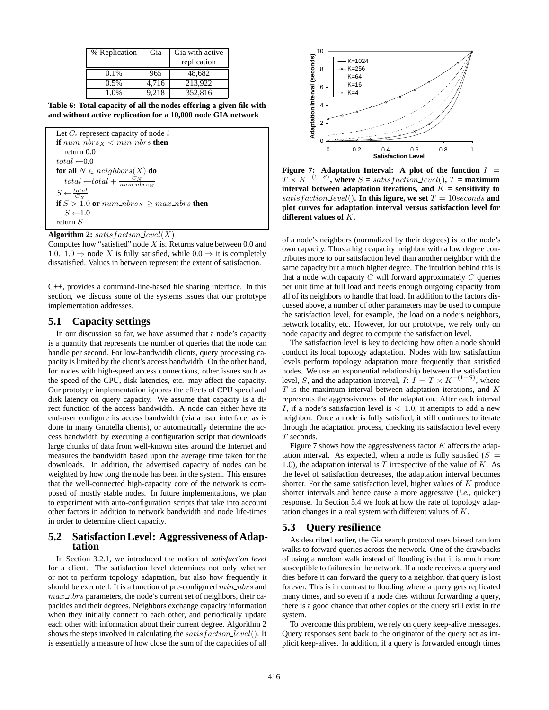| % Replication | Gia   | Gia with active |
|---------------|-------|-----------------|
|               |       | replication     |
| $0.1\%$       | 965   | 48,682          |
| 0.5%          | 4,716 | 213.922         |
| 1.0%          | 9.218 | 352.816         |

**Table 6: Total capacity of all the nodes offering a given file with and without active replication for a 10,000 node GIA network**

| Let $C_i$ represent capacity of node i                |
|-------------------------------------------------------|
| if $num\_nbrs_X < min\_nbrs$ then                     |
| return 0.0                                            |
| $total \leftarrow 0.0$                                |
| for all $N \in neighbors(X)$ do                       |
| $total \leftarrow total + \frac{C_N}{num\_nbrs_N}$    |
| $S \leftarrow \frac{total}{Cv}$                       |
| if $S > 1.0$ or num_nbrs <sub>X</sub> > max_nbrs then |
| $S \leftarrow 1.0$                                    |
| return $S$                                            |

**Algorithm 2:** *satisfaction level*(*X*)

Computes how "satisfied" node *X* is. Returns value between 0.0 and 1.0.  $1.0 \Rightarrow$  node X is fully satisfied, while  $0.0 \Rightarrow$  it is completely dissatisfied. Values in between represent the extent of satisfaction.

C++, provides a command-line-based file sharing interface. In this section, we discuss some of the systems issues that our prototype implementation addresses.

# **5.1 Capacity settings**

In our discussion so far, we have assumed that a node's capacity is a quantity that represents the number of queries that the node can handle per second. For low-bandwidth clients, query processing capacity is limited by the client's access bandwidth. On the other hand, for nodes with high-speed access connections, other issues such as the speed of the CPU, disk latencies, etc. may affect the capacity. Our prototype implementation ignores the effects of CPU speed and disk latency on query capacity. We assume that capacity is a direct function of the access bandwidth. A node can either have its end-user configure its access bandwidth (via a user interface, as is done in many Gnutella clients), or automatically determine the access bandwidth by executing a configuration script that downloads large chunks of data from well-known sites around the Internet and measures the bandwidth based upon the average time taken for the downloads. In addition, the advertised capacity of nodes can be weighted by how long the node has been in the system. This ensures that the well-connected high-capacity core of the network is composed of mostly stable nodes. In future implementations, we plan to experiment with auto-configuration scripts that take into account other factors in addition to network bandwidth and node life-times in order to determine client capacity.

# **5.2 Satisfaction Level: Aggressiveness of Adap- tation**

In Section 3.2.1, we introduced the notion of *satisfaction level* for a client. The satisfaction level determines not only whether or not to perform topology adaptation, but also how frequently it should be executed. It is a function of pre-configured *min nbrs* and *max nbrs* parameters, the node's current set of neighbors, their capacities and their degrees. Neighbors exchange capacity information when they initially connect to each other, and periodically update each other with information about their current degree. Algorithm 2 shows the steps involved in calculating the *satisfaction level*(). It is essentially a measure of how close the sum of the capacities of all



**Figure 7:** Adaptation Interval: A plot of the function  $I = T \times K^{-(1-S)}$ , where  $S = \text{satisfactor\_level}()$ ,  $T = \text{maximum}$  interval between adaptation iterations and  $K = \text{sensitivity}$  to **interval between adaptation iterations, and**  $K =$  sensitivity to *satisfaction\_level* $()$ . In this figure, we set  $T = 10$ *seconds* and **plot curves for adaptation interval versus satisfaction level for different values of** *K***.**

of a node's neighbors (normalized by their degrees) is to the node's own capacity. Thus a high capacity neighbor with a low degree contributes more to our satisfaction level than another neighbor with the same capacity but a much higher degree. The intuition behind this is that a node with capacity *C* will forward approximately *C* queries per unit time at full load and needs enough outgoing capacity from all of its neighbors to handle that load. In addition to the factors discussed above, a number of other parameters may be used to compute the satisfaction level, for example, the load on a node's neighbors, network locality, etc. However, for our prototype, we rely only on node capacity and degree to compute the satisfaction level.

The satisfaction level is key to deciding how often a node should conduct its local topology adaptation. Nodes with low satisfaction levels perform topology adaptation more frequently than satisfied nodes. We use an exponential relationship between the satisfaction level, *S*, and the adaptation interval, *I*:  $\overline{I} = T \times K^{-(1-S)}$ , where *T* is the maximum interval between adaptation iterations, and *K T* is the maximum interval between adaptation iterations, and *K* represents the aggressiveness of the adaptation. After each interval *<sup>I</sup>*, if a node's satisfaction level is *<sup>&</sup>lt;* 1*.*0, it attempts to add a new neighbor. Once a node is fully satisfied, it still continues to iterate through the adaptation process, checking its satisfaction level every *T* seconds.

Figure 7 shows how the aggressiveness factor *K* affects the adaptation interval. As expected, when a node is fully satisfied  $(S =$ 1*.*0), the adaptation interval is *<sup>T</sup>* irrespective of the value of *<sup>K</sup>*. As the level of satisfaction decreases, the adaptation interval becomes shorter. For the same satisfaction level, higher values of *K* produce shorter intervals and hence cause a more aggressive (*i.e.,* quicker) response. In Section 5.4 we look at how the rate of topology adaptation changes in a real system with different values of *K*.

# **5.3 Query resilience**

As described earlier, the Gia search protocol uses biased random walks to forward queries across the network. One of the drawbacks of using a random walk instead of flooding is that it is much more susceptible to failures in the network. If a node receives a query and dies before it can forward the query to a neighbor, that query is lost forever. This is in contrast to flooding where a query gets replicated many times, and so even if a node dies without forwarding a query, there is a good chance that other copies of the query still exist in the system.

To overcome this problem, we rely on query keep-alive messages. Query responses sent back to the originator of the query act as implicit keep-alives. In addition, if a query is forwarded enough times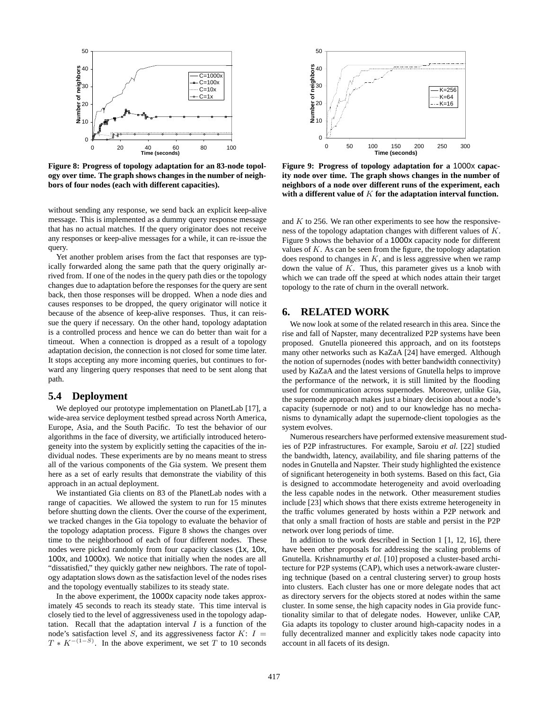

**Figure 8: Progress of topology adaptation for an 83-node topology over time. The graph shows changes in the number of neighbors of four nodes (each with different capacities).**

without sending any response, we send back an explicit keep-alive message. This is implemented as a dummy query response message that has no actual matches. If the query originator does not receive any responses or keep-alive messages for a while, it can re-issue the query.

Yet another problem arises from the fact that responses are typically forwarded along the same path that the query originally arrived from. If one of the nodes in the query path dies or the topology changes due to adaptation before the responses for the query are sent back, then those responses will be dropped. When a node dies and causes responses to be dropped, the query originator will notice it because of the absence of keep-alive responses. Thus, it can reissue the query if necessary. On the other hand, topology adaptation is a controlled process and hence we can do better than wait for a timeout. When a connection is dropped as a result of a topology adaptation decision, the connection is not closed for some time later. It stops accepting any more incoming queries, but continues to forward any lingering query responses that need to be sent along that path.

#### **5.4 Deployment**

We deployed our prototype implementation on PlanetLab [17], a wide-area service deployment testbed spread across North America, Europe, Asia, and the South Pacific. To test the behavior of our algorithms in the face of diversity, we artificially introduced heterogeneity into the system by explicitly setting the capacities of the individual nodes. These experiments are by no means meant to stress all of the various components of the Gia system. We present them here as a set of early results that demonstrate the viability of this approach in an actual deployment.

We instantiated Gia clients on 83 of the PlanetLab nodes with a range of capacities. We allowed the system to run for 15 minutes before shutting down the clients. Over the course of the experiment, we tracked changes in the Gia topology to evaluate the behavior of the topology adaptation process. Figure 8 shows the changes over time to the neighborhood of each of four different nodes. These nodes were picked randomly from four capacity classes (1x, 10x, 100x, and 1000x). We notice that initially when the nodes are all "dissatisfied," they quickly gather new neighbors. The rate of topology adaptation slows down as the satisfaction level of the nodes rises and the topology eventually stabilizes to its steady state.

In the above experiment, the 1000x capacity node takes approximately 45 seconds to reach its steady state. This time interval is closely tied to the level of aggressiveness used in the topology adaptation. Recall that the adaptation interval *I* is a function of the node's satisfaction level *S*, and its aggressiveness factor *K*: *I* =  $T * K^{- (1-S)}$ . In the above experiment, we set *T* to 10 seconds



**Figure 9: Progress of topology adaptation for a** 1000x **capacity node over time. The graph shows changes in the number of neighbors of a node over different runs of the experiment, each with a different value of** *K* **for the adaptation interval function.**

and *K* to 256. We ran other experiments to see how the responsiveness of the topology adaptation changes with different values of *K*. Figure 9 shows the behavior of a 1000x capacity node for different values of *K*. As can be seen from the figure, the topology adaptation does respond to changes in *K*, and is less aggressive when we ramp down the value of *K*. Thus, this parameter gives us a knob with which we can trade off the speed at which nodes attain their target topology to the rate of churn in the overall network.

# **6. RELATED WORK**

We now look at some of the related research in this area. Since the rise and fall of Napster, many decentralized P2P systems have been proposed. Gnutella pioneered this approach, and on its footsteps many other networks such as KaZaA [24] have emerged. Although the notion of supernodes (nodes with better bandwidth connectivity) used by KaZaA and the latest versions of Gnutella helps to improve the performance of the network, it is still limited by the flooding used for communication across supernodes. Moreover, unlike Gia, the supernode approach makes just a binary decision about a node's capacity (supernode or not) and to our knowledge has no mechanisms to dynamically adapt the supernode-client topologies as the system evolves.

Numerous researchers have performed extensive measurement studies of P2P infrastructures. For example, Saroiu *et al.* [22] studied the bandwidth, latency, availability, and file sharing patterns of the nodes in Gnutella and Napster. Their study highlighted the existence of significant heterogeneity in both systems. Based on this fact, Gia is designed to accommodate heterogeneity and avoid overloading the less capable nodes in the network. Other measurement studies include [23] which shows that there exists extreme heterogeneity in the traffic volumes generated by hosts within a P2P network and that only a small fraction of hosts are stable and persist in the P2P network over long periods of time.

In addition to the work described in Section 1 [1, 12, 16], there have been other proposals for addressing the scaling problems of Gnutella. Krishnamurthy *et al.* [10] proposed a cluster-based architecture for P2P systems (CAP), which uses a network-aware clustering technique (based on a central clustering server) to group hosts into clusters. Each cluster has one or more delegate nodes that act as directory servers for the objects stored at nodes within the same cluster. In some sense, the high capacity nodes in Gia provide functionality similar to that of delegate nodes. However, unlike CAP, Gia adapts its topology to cluster around high-capacity nodes in a fully decentralized manner and explicitly takes node capacity into account in all facets of its design.